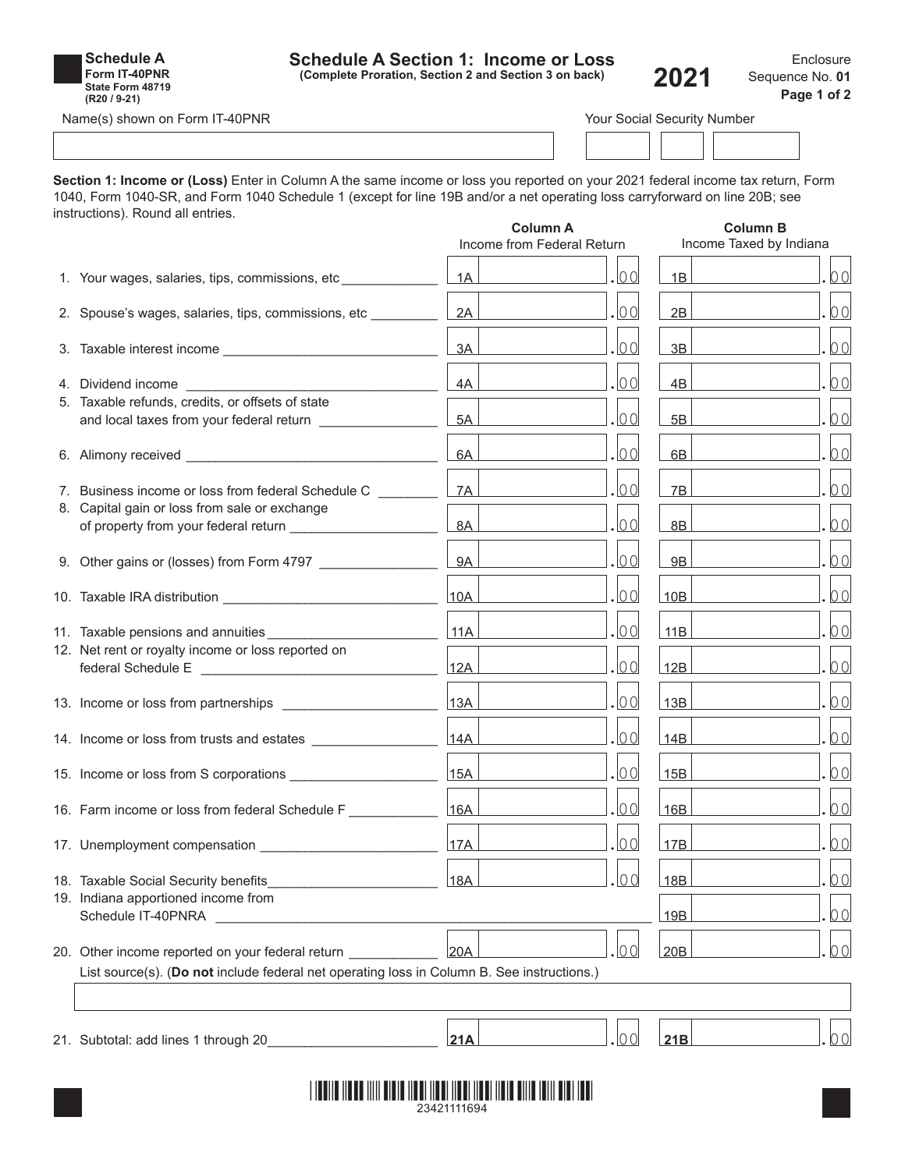| <b>Schedule A</b> |
|-------------------|
| Form IT-40PNR     |
| State Form 48719  |
| (R20 / 9-21)      |

## **Schedule A Section 1: Income or Loss (Complete Proration, Section 2 and Section 3 on back)**

Name(s) shown on Form IT-40PNR Your Social Security Number

**2021**

**Section 1: Income or (Loss)** Enter in Column A the same income or loss you reported on your 2021 federal income tax return, Form 1040, Form 1040-SR, and Form 1040 Schedule 1 (except for line 19B and/or a net operating loss carryforward on line 20B; see instructions). Round all entries. **Column A Column B**

|                                                                                                                                                     |     | Column A<br>Income from Federal Return      | <b>COIUMN B</b><br>Income Taxed by Indiana |    |
|-----------------------------------------------------------------------------------------------------------------------------------------------------|-----|---------------------------------------------|--------------------------------------------|----|
| 1. Your wages, salaries, tips, commissions, etc______________                                                                                       | 1A  | .00                                         | 1B                                         | 00 |
| 2. Spouse's wages, salaries, tips, commissions, etc _________                                                                                       | 2A  | 00                                          | 2B                                         | 00 |
|                                                                                                                                                     | 3A  | 00                                          | 3B                                         | 00 |
|                                                                                                                                                     | 4A  | 00                                          | $\overline{AB}$                            | 00 |
| 5. Taxable refunds, credits, or offsets of state                                                                                                    | 5A  | 00                                          | 5B                                         | 00 |
|                                                                                                                                                     | 6A  | 00                                          | 6B                                         | 00 |
| 7. Business income or loss from federal Schedule C                                                                                                  | 7A  | 00                                          | 7B                                         | 00 |
| 8. Capital gain or loss from sale or exchange                                                                                                       | 8A  | 00                                          | 8B                                         | 00 |
| 9. Other gains or (losses) from Form 4797 ________________                                                                                          | 9A  | 00<br><u> 1990 - Jan Barbara III, martx</u> | 9B                                         | 00 |
|                                                                                                                                                     | 10A | 00                                          | 10B                                        | 00 |
|                                                                                                                                                     | 11A | 00                                          | 11B                                        | 00 |
| 12. Net rent or royalty income or loss reported on                                                                                                  | 12A | 00                                          | 12B                                        | 00 |
|                                                                                                                                                     | 13A | 00                                          | 13B                                        | 00 |
|                                                                                                                                                     | 14A | 00                                          | 14B                                        | 00 |
|                                                                                                                                                     | 15A | 00                                          | 15B                                        | 00 |
| 16. Farm income or loss from federal Schedule F ____________                                                                                        | 16A | .loo                                        | 16B                                        | 00 |
|                                                                                                                                                     | 17A | 00                                          | 17B                                        | 00 |
| 18. Taxable Social Security benefits<br>19. Indiana apportioned income from                                                                         | 18A | <u>lo d</u>                                 | 18B                                        | 00 |
| Schedule IT-40PNRA                                                                                                                                  |     |                                             | 19B                                        | 00 |
| 20. Other income reported on your federal return ____<br>List source(s). (Do not include federal net operating loss in Column B. See instructions.) | 20A | 00                                          | 20B                                        | 00 |
|                                                                                                                                                     |     |                                             |                                            |    |
| 21. Subtotal: add lines 1 through 20                                                                                                                | 21A | 00                                          | 21B                                        | 00 |